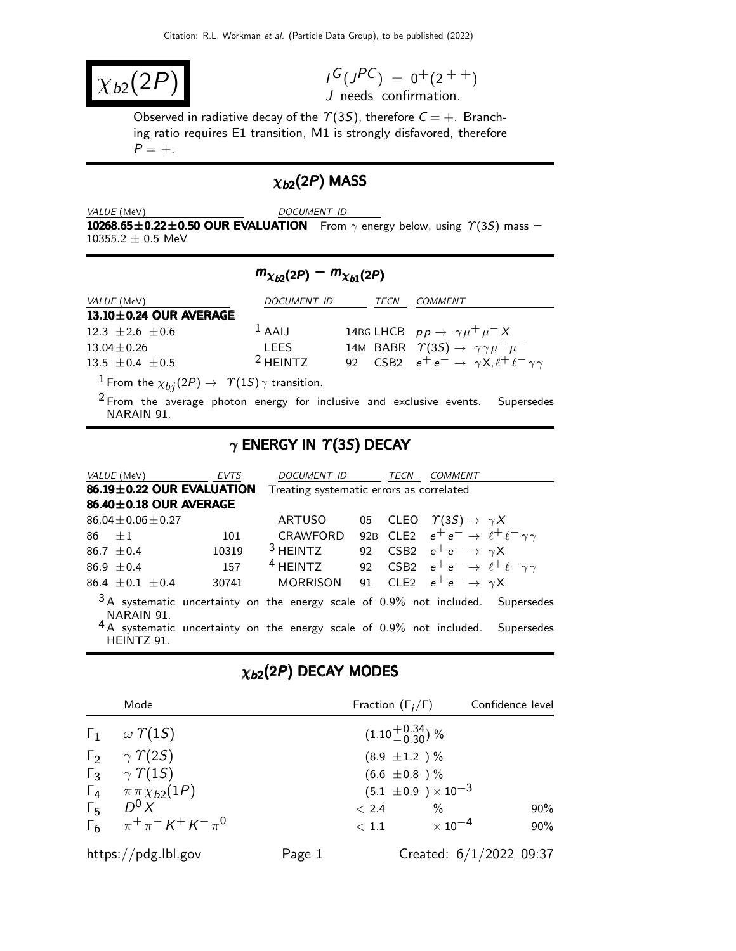$\chi_{b2}(2F)$ 

 $I^G(J^{PC}) = 0^+(2^{++})$ J needs confirmation.

Observed in radiative decay of the  $\Upsilon(3S)$ , therefore  $C = +$ . Branching ratio requires E1 transition, M1 is strongly disfavored, therefore  $P = +$ .

# $\chi_{b2}(2P)$  MASS

DOCUMENT ID

10268.65 $\pm$ 0.22 $\pm$ 0.50 OUR EVALUATION From  $\gamma$  energy below, using  $\gamma$ (3S) mass =  $10355.2 \pm 0.5$  MeV

# $m_{\chi_{b2}(2P)} - m_{\chi_{b1}(2P)}$

| <i>VALUE</i> (MeV)                                                   | DOCUMENT ID |  | TECN | COMMENT                                                            |
|----------------------------------------------------------------------|-------------|--|------|--------------------------------------------------------------------|
| $13.10 \pm 0.24$ OUR AVERAGE                                         |             |  |      |                                                                    |
| $12.3 \pm 2.6 \pm 0.6$                                               | $1$ AAIJ    |  |      | 14BG LHCB $pp \rightarrow \gamma \mu^+ \mu^- X$                    |
| $13.04 \pm 0.26$                                                     | <b>LEES</b> |  |      | 14M BABR $\Upsilon(35) \rightarrow \gamma \gamma \mu^+ \mu^-$      |
| $13.5 + 0.4 + 0.5$                                                   | $2$ HEINTZ  |  |      | 92 CSB2 $e^+e^- \rightarrow \gamma X, \ell^+ \ell^- \gamma \gamma$ |
| $\frac{1}{2}$ Eram the $\omega$ (2D) $\sqrt{\gamma(15)}$ etransition |             |  |      |                                                                    |

From the  $\chi_{bj}$  (2P)  $\rightarrow$   $\gamma$  (1S)  $\gamma$  transition.

2 From the average photon energy for inclusive and exclusive events. Supersedes NARAIN 91.

## $\gamma$  ENERGY IN  $\Upsilon(3S)$  DECAY

| <i>VALUE</i> (MeV)        | <b>EVTS</b> | <b>DOCUMENT ID</b>                                                              |  | TECN | COMMENT                                                                          |  |
|---------------------------|-------------|---------------------------------------------------------------------------------|--|------|----------------------------------------------------------------------------------|--|
| 86.19±0.22 OUR EVALUATION |             | Treating systematic errors as correlated                                        |  |      |                                                                                  |  |
| 86.40±0.18 OUR AVERAGE    |             |                                                                                 |  |      |                                                                                  |  |
| $86.04 \pm 0.06 \pm 0.27$ |             | <b>ARTUSO</b>                                                                   |  |      | 05 CLEO $\Upsilon(3S) \rightarrow \gamma X$                                      |  |
| $86 + 1$                  | 101         | CRAWFORD                                                                        |  |      | 92B CLE2 $e^+e^- \rightarrow \ell^+ \ell^- \gamma \gamma$                        |  |
| $86.7 + 0.4$              | 10319       | $3$ HEINTZ                                                                      |  |      | 92 CSB2 $e^+e^- \rightarrow \gamma X$                                            |  |
| 86.9 $\pm$ 0.4            | 157         | <sup>4</sup> HEINTZ                                                             |  |      | 92 CSB2 $e^+e^- \rightarrow \ell^+ \ell^- \gamma \gamma$                         |  |
| $86.4 \pm 0.1 \pm 0.4$    | 30741       | <b>MORRISON</b>                                                                 |  |      | 91 CLE2 $e^+e^- \rightarrow \gamma X$                                            |  |
| NARAIN 91.                |             |                                                                                 |  |      | $3A$ systematic uncertainty on the energy scale of 0.9% not included. Supersedes |  |
| HEINTZ 91.                |             | <sup>4</sup> A systematic uncertainty on the energy scale of 0.9% not included. |  |      | Supersedes                                                                       |  |

# $\chi_{b2}(2P)$  DECAY MODES

| Mode                                   |        | Fraction $(\Gamma_i/\Gamma)$ |                                | Confidence level          |
|----------------------------------------|--------|------------------------------|--------------------------------|---------------------------|
| $\Gamma_1 \quad \omega \Upsilon(15)$   |        | $(1.10^{+0.34}_{-0.30})$ %   |                                |                           |
| $\Gamma_2 \gamma \gamma$ (2S)          |        | $(8.9 \pm 1.2) \%$           |                                |                           |
| $\Gamma_3$ $\gamma$ $\gamma$ (15)      |        | $(6.6 \pm 0.8)$ %            |                                |                           |
| $\Gamma_4 \quad \pi \pi \chi_{b2}(1P)$ |        |                              | $(5.1 \pm 0.9) \times 10^{-3}$ |                           |
| $\Gamma_5$ $D^0 X$                     |        | < 2.4                        | $\%$                           | $90\%$                    |
| $\Gamma_6$ $\pi^+\pi^- K^+ K^- \pi^0$  |        | < 1.1                        | $\times$ 10 $^{-4}$            | $90\%$                    |
| https://pdg.lbl.gov                    | Page 1 |                              |                                | Created: $6/1/2022$ 09:37 |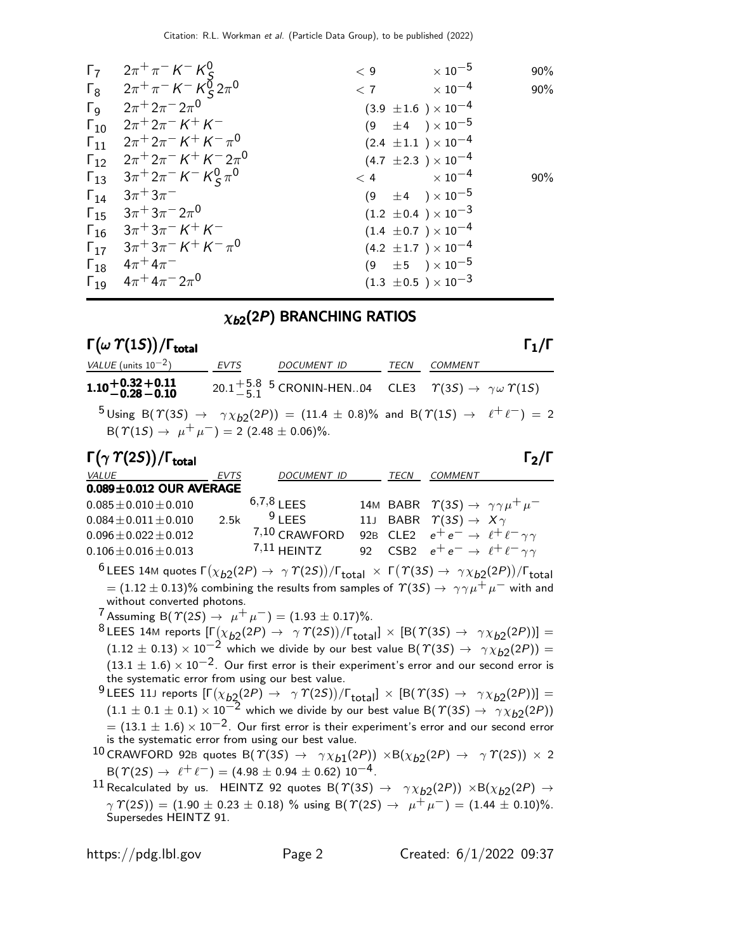| $\Gamma_7$            | $2\pi^{+}\pi^{-}$ K $^{-}$ K $_{c}^{0}$                                                                    | < 9 | $\times$ 10 $^{-5}$            | 90%    |
|-----------------------|------------------------------------------------------------------------------------------------------------|-----|--------------------------------|--------|
|                       | $\Gamma_8$ $2\pi^+\pi^- K^- K^0_S 2\pi^0$                                                                  | < 7 | $\times$ 10 $^{-4}$            | 90%    |
| $\Gamma$ <sub>9</sub> | $2\pi + 2\pi - 2\pi^0$                                                                                     |     | $(3.9 \pm 1.6) \times 10^{-4}$ |        |
|                       | $\Gamma_{10}$ $2\pi$ <sup>+</sup> $2\pi$ <sup>-</sup> $K$ <sup>+</sup> $K$ <sup>-</sup>                    |     | $(9 \pm 4) \times 10^{-5}$     |        |
|                       | $\Gamma_{11}$ $2\pi$ <sup>+</sup> $2\pi$ <sup>-</sup> $K$ <sup>+</sup> $K$ <sup>-</sup> $\pi$ <sup>0</sup> |     | $(2.4 \pm 1.1) \times 10^{-4}$ |        |
|                       | $\Gamma_{12}$ $2\pi^+ 2\pi^- K^+ K^- 2\pi^0$                                                               |     | $(4.7 \pm 2.3) \times 10^{-4}$ |        |
|                       | $\Gamma_{13}$ $3\pi^+ 2\pi^- K^- K^0_S \pi^0$                                                              |     | $< 4$ $\times 10^{-4}$         | $90\%$ |
|                       | $\Gamma_{14}$ $3\pi^+3\pi^-$                                                                               |     | $(9 \pm 4) \times 10^{-5}$     |        |
|                       | $\Gamma_{15}$ $3\pi$ <sup>+</sup> $3\pi$ <sup>-</sup> $2\pi$ <sup>0</sup>                                  |     | $(1.2 \pm 0.4) \times 10^{-3}$ |        |
|                       | $\Gamma_{16}$ $3\pi$ <sup>+</sup> $3\pi$ <sup>-</sup> $K$ <sup>+</sup> $K$ <sup>-</sup>                    |     | $(1.4 \pm 0.7) \times 10^{-4}$ |        |
|                       | $\Gamma_{17}$ $3\pi$ <sup>+</sup> $3\pi$ <sup>-</sup> $K$ <sup>+</sup> $K$ <sup>-</sup> $\pi$ <sup>0</sup> |     | $(4.2 \pm 1.7) \times 10^{-4}$ |        |
|                       | $\Gamma_{18}$ $4\pi^+ 4\pi^-$                                                                              |     | $(9 \t\pm 5) \times 10^{-5}$   |        |
|                       | $\Gamma_{19}$ $4\pi$ <sup>+</sup> $4\pi$ <sup>-</sup> $2\pi$ <sup>0</sup>                                  |     | $(1.3 \pm 0.5) \times 10^{-3}$ |        |

# $\chi_{b2}(2P)$  BRANCHING RATIOS

# Γ(ω $T(1S)$ )/Γ<sub>total</sub> Γ<sub>1</sub>/Γ

| VALUE (units $10^{-2}$ )                                         | EVTS | DOCUMENT ID                                                                                                                                   | TECN | <i>COMMENT</i> |  |
|------------------------------------------------------------------|------|-----------------------------------------------------------------------------------------------------------------------------------------------|------|----------------|--|
| $1.10 + 0.32 + 0.11$<br>-0.28 - 0.10                             |      | 20.1 <sup>+5.8</sup> 5 CRONIN-HEN04 CLE3 $\gamma$ (3S) $\rightarrow \gamma \omega \gamma$ (1S)                                                |      |                |  |
|                                                                  |      | <sup>5</sup> Using B( $\Upsilon(35) \rightarrow \gamma \chi_{b2}(2P)$ ) = (11.4 ± 0.8)% and B( $\Upsilon(15) \rightarrow \ell^+ \ell^-$ ) = 2 |      |                |  |
| $B(\Upsilon(15) \rightarrow \mu^+ \mu^-) = 2 (2.48 \pm 0.06)\%.$ |      |                                                                                                                                               |      |                |  |

| $\Gamma(\gamma \Upsilon(2S))/\Gamma_{\text{total}}$ |             |                    |             |                                                               | $\Gamma_2/\Gamma$ |
|-----------------------------------------------------|-------------|--------------------|-------------|---------------------------------------------------------------|-------------------|
| <b>VALUE</b>                                        | <b>EVTS</b> | <b>DOCUMENT ID</b> | <b>TECN</b> | <b>COMMENT</b>                                                |                   |
| $0.089 \pm 0.012$ OUR AVERAGE                       |             |                    |             |                                                               |                   |
| $0.085 \pm 0.010 \pm 0.010$                         |             | $6,7,8$   FFS      |             | 14M BABR $\Upsilon(3S) \rightarrow \gamma \gamma \mu^+ \mu^-$ |                   |
| $0.084 \pm 0.011 \pm 0.010$                         | 2.5k        | $9$ I FFS          |             | 11J BABR $\Upsilon(3S) \rightarrow X\gamma$                   |                   |
| $0.096 \pm 0.022 \pm 0.012$                         |             | $7,10$ CRAWFORD    |             | 92B CLE2 $e^+e^- \rightarrow \ell^+ \ell^- \gamma \gamma$     |                   |
| $0.106 \pm 0.016 \pm 0.013$                         |             | $7,11$ HEINTZ      |             | 92 CSB2 $e^+e^- \rightarrow \ell^+ \ell^- \gamma \gamma$      |                   |

 $^6$ LEES 14M quotes Γ $(\chi_{b2}(2P) \to \; \gamma \; \gamma(2S))/$ Γ $_{\rm total} \; \times \;$  Γ $(\; \gamma(3S) \to \; \gamma \chi_{b2}(2P))/$ Γ $_{\rm total}$  $= (1.12 \pm 0.13)\%$  combining the results from samples of  $\varUpsilon(3S) \rightarrow \gamma \gamma \mu^+ \mu^-$  with and without converted photons.

7 Assuming B( $\Upsilon(2S) \rightarrow \mu^+ \mu^-$ ) = (1.93 ± 0.17)%.

 $^8$ LEES 14M reports  $[\Gamma(\chi_{b2}(2P) \to \gamma \Upsilon(2S))/\Gamma_{\text{total}}] \times [B(\Upsilon(3S) \to \gamma \chi_{b2}(2P))] =$  $(1.12 \pm 0.13) \times 10^{-2}$  which we divide by our best value B( $\Gamma(35) \rightarrow \gamma \chi_{b2}(2P)$ ) =  $(13.1 \pm 1.6) \times 10^{-2}$ . Our first error is their experiment's error and our second error is the systematic error from using our best value.

 $^9$ LEES 11J reports  $[\Gamma(\chi_{b2}(2P) \to \gamma \varUpsilon(2S))/\Gamma_{\text{total}}] \times [B(\varUpsilon(3S) \to \gamma \chi_{b2}(2P))] =$  $(1.1 \pm 0.1 \pm 0.1) \times 10^{-2}$  which we divide by our best value B( $\Upsilon(3S) \rightarrow \gamma \chi_{b2}(2P)$ )  $= (13.1 \pm 1.6) \times 10^{-2}$ . Our first error is their experiment's error and our second error is the systematic error from using our best value.

 $^{10}$  CRAWFORD 92B quotes B $(\varUpsilon(3S) \to -\gamma \chi_{b1}(2P)) \times {\rm B}(\chi_{b2}(2P) \to -\gamma \varUpsilon(2S)) \times 2$  $B(\Upsilon(2S) \rightarrow \ell^+ \ell^-) = (4.98 \pm 0.94 \pm 0.62) 10^{-4}.$ 

 $^{11}$  Recalculated by us.  $\,$  HEINTZ 92 quotes  $\, {\sf B}(\, \gamma(3S) \, \to \, \, \, \gamma \chi_{b2}(2P) \, \times {\sf B}(\chi_{b2}(2P) \, \to \,$  $\gamma \Upsilon(2S)$  = (1.90  $\pm$  0.23  $\pm$  0.18) % using B( $\Upsilon(2S) \rightarrow \mu^+ \mu^-$ ) = (1.44  $\pm$  0.10)%. Supersedes HEINTZ 91.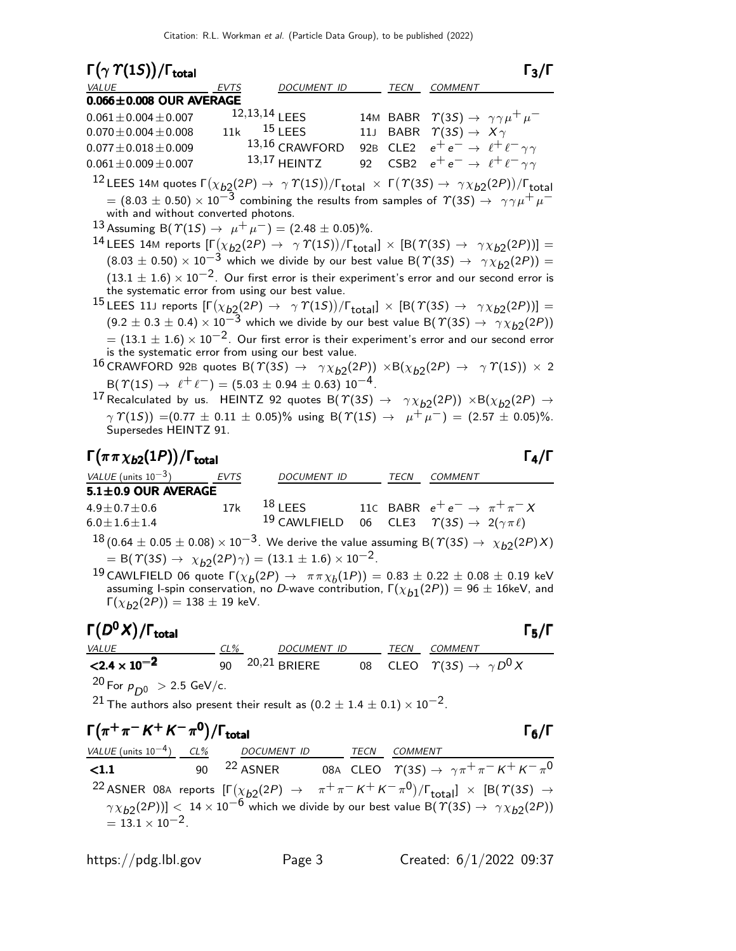| $\Gamma(\gamma \Upsilon(1S))/\Gamma_{\text{total}}$                                                                                                    |                  |                    |                 |      | $\Gamma_3/\Gamma$                                                                                                                                                                                                                                                                                      |  |
|--------------------------------------------------------------------------------------------------------------------------------------------------------|------------------|--------------------|-----------------|------|--------------------------------------------------------------------------------------------------------------------------------------------------------------------------------------------------------------------------------------------------------------------------------------------------------|--|
| VALUE                                                                                                                                                  | <b>EVTS</b>      | <b>DOCUMENT ID</b> |                 | TECN | <b>COMMENT</b>                                                                                                                                                                                                                                                                                         |  |
| $0.066 \pm 0.008$ OUR AVERAGE                                                                                                                          |                  |                    |                 |      |                                                                                                                                                                                                                                                                                                        |  |
| $0.061 \pm 0.004 \pm 0.007$                                                                                                                            | $12,13,14$   FFS |                    |                 |      | 14M BABR $\Upsilon(35) \rightarrow \gamma \gamma \mu^+ \mu^-$                                                                                                                                                                                                                                          |  |
| $0.070 \pm 0.004 \pm 0.008$                                                                                                                            | 11k              | $15$ LEES          | 11 <sub>J</sub> |      | BABR $\ \ \Upsilon(3S) \rightarrow \ X \gamma$                                                                                                                                                                                                                                                         |  |
| $0.077 \pm 0.018 \pm 0.009$                                                                                                                            |                  | 13,16 CRAWFORD     | 92 <sub>B</sub> | CLE2 | $e^+e^- \rightarrow \ell^+ \ell^- \gamma \gamma$                                                                                                                                                                                                                                                       |  |
| $0.061 \pm 0.009 \pm 0.007$                                                                                                                            |                  | $13,17$ HEINTZ     | 92              |      | CSB2 $e^+e^- \rightarrow \ell^+ \ell^- \gamma \gamma$                                                                                                                                                                                                                                                  |  |
|                                                                                                                                                        |                  |                    |                 |      | $^{12}$ LEES 14M quotes $\Gamma(\chi_{b2}(2P) \to \gamma \varUpsilon(1S))/\Gamma_{\text{total}} \times \Gamma(\varUpsilon(3S) \to \gamma \chi_{b2}(2P))/\Gamma_{\text{total}}$<br>$\tau=(8.03\pm0.50)\times10^{-3}$ combining the results from samples of $\varUpsilon(3S)\to\ \gamma\gamma\mu^+\mu^-$ |  |
| with and without converted photons.                                                                                                                    |                  |                    |                 |      |                                                                                                                                                                                                                                                                                                        |  |
| 13 Assuming B( $\Upsilon(1S) \rightarrow \mu^+ \mu^-$ ) = (2.48 ± 0.05)%.                                                                              |                  |                    |                 |      |                                                                                                                                                                                                                                                                                                        |  |
|                                                                                                                                                        |                  |                    |                 |      | $^{14}$ LEES 14M reports $[\Gamma(\chi_{b2}(2P) \to \ \gamma\,\Upsilon(1S))/\Gamma_{\rm total}]\times[{\sf B}(\,\Upsilon(3S) \to \ \gamma\chi_{b2}(2P))] =$                                                                                                                                            |  |
|                                                                                                                                                        |                  |                    |                 |      | $(8.03 \pm 0.50) \times 10^{-3}$ which we divide by our best value B( $\Upsilon(3S) \rightarrow \gamma \chi_{b2}(2P)$ ) =                                                                                                                                                                              |  |
|                                                                                                                                                        |                  |                    |                 |      | $(13.1 \pm 1.6) \times 10^{-2}$ . Our first error is their experiment's error and our second error is                                                                                                                                                                                                  |  |
| the systematic error from using our best value.                                                                                                        |                  |                    |                 |      |                                                                                                                                                                                                                                                                                                        |  |
|                                                                                                                                                        |                  |                    |                 |      | <sup>15</sup> LEES 11J reports $[\Gamma(\chi_{b2}(2P) \to \gamma \Upsilon(1S))/\Gamma_{\text{total}}] \times [B(\Upsilon(3S) \to \gamma \chi_{b2}(2P))] =$                                                                                                                                             |  |
|                                                                                                                                                        |                  |                    |                 |      | $(9.2 \pm 0.3 \pm 0.4) \times 10^{-3}$ which we divide by our best value B $(\Upsilon(3S) \rightarrow \gamma \chi_{b2}(2P))$                                                                                                                                                                           |  |
|                                                                                                                                                        |                  |                    |                 |      | $\sigma = (13.1 \pm 1.6) \times 10^{-2}$ . Our first error is their experiment's error and our second error                                                                                                                                                                                            |  |
| is the systematic error from using our best value.                                                                                                     |                  |                    |                 |      |                                                                                                                                                                                                                                                                                                        |  |
|                                                                                                                                                        |                  |                    |                 |      | $^{16}$ CRAWFORD 92B quotes B $(\varUpsilon(3S) \rightarrow \gamma \chi_{b2}(2P)) \times B(\chi_{b2}(2P) \rightarrow \gamma \varUpsilon(1S)) \times 2$                                                                                                                                                 |  |
| $B(\Upsilon(15) \rightarrow \ell^+ \ell^-) = (5.03 \pm 0.94 \pm 0.63) 10^{-4}$ .                                                                       |                  |                    |                 |      |                                                                                                                                                                                                                                                                                                        |  |
|                                                                                                                                                        |                  |                    |                 |      | <sup>17</sup> Recalculated by us. HEINTZ 92 quotes B( $\Upsilon(3S) \rightarrow \gamma \chi_{b2}(2P)$ ) $\times$ B( $\chi_{b2}(2P) \rightarrow$                                                                                                                                                        |  |
| $\gamma \Upsilon(15)$ = (0.77 $\pm$ 0.11 $\pm$ 0.05)% using B( $\Upsilon(15) \rightarrow \mu^+ \mu^-$ ) = (2.57 $\pm$ 0.05)%.<br>Supersedes HEINTZ 91. |                  |                    |                 |      |                                                                                                                                                                                                                                                                                                        |  |
| $\Gamma(\pi\pi\chi_{b2}(1P))/\Gamma_{\rm total}$                                                                                                       |                  |                    |                 |      | $\Gamma_4/\Gamma$                                                                                                                                                                                                                                                                                      |  |
| VALUE (units $10^{-3}$ )                                                                                                                               | EVTS             | DOCUMENT ID        |                 |      | TECN COMMENT                                                                                                                                                                                                                                                                                           |  |
| 5.1±0.9 OUR AVERAGE                                                                                                                                    |                  |                    |                 |      |                                                                                                                                                                                                                                                                                                        |  |
| $4.9 \pm 0.7 \pm 0.6$                                                                                                                                  | 17k              | $18$ LEES          |                 |      | 11c BABR $e^+e^- \rightarrow \pi^+\pi^-X$                                                                                                                                                                                                                                                              |  |
| $6.0 \pm 1.6 \pm 1.4$                                                                                                                                  |                  | 19 CAWLFIELD       | 06              |      | CLE3 $\Upsilon(3S) \rightarrow 2(\gamma \pi \ell)$                                                                                                                                                                                                                                                     |  |
|                                                                                                                                                        |                  |                    |                 |      | $^{18}$ (0.64 $\pm$ 0.05 $\pm$ 0.08) $\times$ 10 <sup>-3</sup> . We derive the value assuming B( $\varUpsilon(3S) \rightarrow \chi_{b2}(2P)X)$                                                                                                                                                         |  |

= B( $\Upsilon(3S) \rightarrow \chi_{b2}(2P)\gamma$ ) = (13.1 ± 1.6) × 10<sup>-2</sup>.

 $^{19}$  CAWLFIELD 06 quote Γ $(x_b(2P) → ππx_b(1P)) = 0.83 ± 0.22 ± 0.08 ± 0.19$  keV assuming I-spin conservation, no D-wave contribution,  $\Gamma(\chi_{b1}(2P)) = 96 \pm 16$ keV, and  $\Gamma(\chi_{b2}(2P)) = 138 \pm 19$  keV.

# Γ $(D<sup>0</sup>X)/\Gamma_{\text{total}}$  Γ<sub>5</sub>/Γ

## )/ $\Gamma$ <sub>total</sub>Γ5/Γ

| <i>VALUE</i>                                                                                                            | CL% | DOCUMENT ID     |  | TECN COMMENT                                    |
|-------------------------------------------------------------------------------------------------------------------------|-----|-----------------|--|-------------------------------------------------|
| $<$ 2.4 $\times$ 10 <sup>-2</sup>                                                                                       |     | 90 20,21 BRIERE |  | 08 CLEO $\Upsilon(3S) \rightarrow \gamma D^0 X$ |
| ാറ –<br>the contract of the contract of the contract of the contract of the contract of the contract of the contract of |     |                 |  |                                                 |

<sup>20</sup> For  $p_{D0} > 2.5$  GeV/c.

<sup>21</sup> The authors also present their result as  $(0.2 \pm 1.4 \pm 0.1) \times 10^{-2}$ .

### $\Gamma(\pi^+\pi^- K^+ K^-\pi^0)$  $\Gamma(\pi^+\pi^- K^+ K^-\pi^0)/\Gamma_{\rm total}$  Γ<sub>6</sub>/Γ

VALUE (units 10<sup>-4</sup>) CL% DOCUMENT ID TECN COMMENT **<1.1** 90 <sup>22</sup> ASNER 08A CLEO  $\Upsilon(3S) \rightarrow \gamma \pi^+ \pi^- K^+ K^- \pi^0$ 22 ASNER 08A reports  $[\Gamma(\chi_{b2}(2P) \rightarrow \pi^+\pi^- K^+ K^-\pi^0)/\Gamma_{\rm total}]\times [B(\Upsilon(3S) \rightarrow$  $\left(\gamma \chi_{b2}(2P)\right)$  <  $14 \times 10^{-6}$  which we divide by our best value B( $\gamma$ (3S)  $\rightarrow$   $\gamma \chi_{b2}(2P)$ )  $= 13.1 \times 10^{-2}$ .

https://pdg.lbl.gov Page 3 Created: 6/1/2022 09:37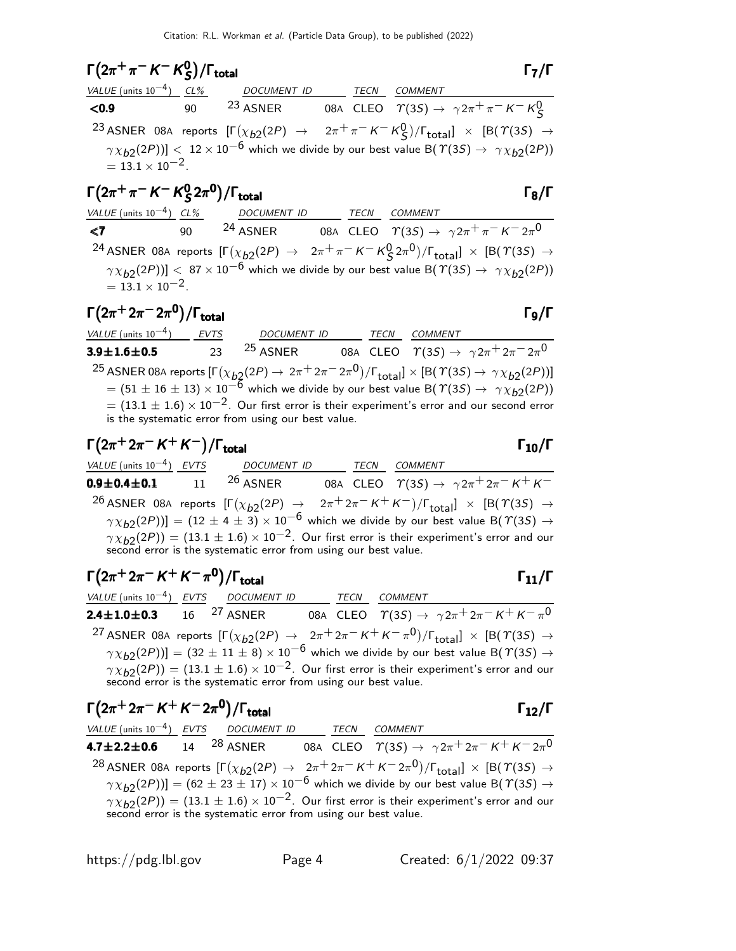#### $\Gamma(2\pi^+\pi^- K^- K^0_S)$  $(2\pi^+\pi^-K^-K^0_S)/\Gamma_{\text{total}}$  Γ<sub>7</sub>/Γ  $\Gamma(2\pi^+\pi^- K^- K_S^0)/\Gamma_{\text{total}}$  Γ<sub>7</sub>/Γ

| $1(2\pi \nmid \pi \wedge \kappa)$ /l total |                                               |  | 17/1                                                                                                                                                 |
|--------------------------------------------|-----------------------------------------------|--|------------------------------------------------------------------------------------------------------------------------------------------------------|
|                                            | VALUE (units $10^{-4}$ ) CL% DOCUMENT ID TECN |  | COMMENT                                                                                                                                              |
| < 0.9                                      |                                               |  | 90 $^{23}$ ASNER 08A CLEO $\Upsilon(3S) \rightarrow \gamma 2\pi^+ \pi^- K^- K^0_S$                                                                   |
|                                            |                                               |  | <sup>23</sup> ASNER 08A reports $[\Gamma(\chi_{b2}(2P) \rightarrow 2\pi^+\pi^- K^- K^0_S)/\Gamma_{\text{total}}] \times [B(\Upsilon(3S) \rightarrow$ |
| $= 13.1 \times 10^{-2}$ .                  |                                               |  | $\gamma \chi_{b2}(2P))$ < 12 × 10 <sup>-6</sup> which we divide by our best value B( $\Upsilon(3S) \rightarrow \gamma \chi_{b2}(2P)$ )               |

## Γ $(2π + π - K - K<sup>0</sup>$  $\Gamma(2\pi^+\pi^-\,$ K $\Gamma^0$ <sub>S</sub>2π<sup>0</sup>)/Γ<sub>total</sub> Γ<sub>8</sub>/Γ

| VALUE (units $10^{-4}$ ) CL% |    | DOCUMENT ID         | TECN | COMMENT                                                                                                                                              |
|------------------------------|----|---------------------|------|------------------------------------------------------------------------------------------------------------------------------------------------------|
| $\langle 7 \rangle$          | 90 | <sup>24</sup> ASNER |      | 08A CLEO $\Upsilon(3S) \rightarrow \gamma 2\pi^+ \pi^- K^- 2\pi^0$                                                                                   |
|                              |    |                     |      | <sup>24</sup> ASNER 08A reports $[\Gamma(\chi_{b2}(2P) \rightarrow 2\pi^+\pi^- K^- K^0_S 2\pi^0)/\Gamma_{\text{total}}] \times [B(T(3S) \rightarrow$ |
|                              |    |                     |      | $\gamma \chi_{b2}(2P))$ < 87 × 10 <sup>-6</sup> which we divide by our best value B( $\Upsilon(3S) \rightarrow \gamma \chi_{b2}(2P)$ )               |
| $= 13.1 \times 10^{-2}$ .    |    |                     |      |                                                                                                                                                      |

### $\Gamma(2\pi^+ 2\pi^- 2\pi^0)/\Gamma_{\rm total}$ )/Γ<sub>total</sub> Γ<sub>9</sub>/Γ

 $VALU E$  (units 10<sup>-4</sup>) EVTS DOCUMENT ID TECN COMMENT 3.9 $\pm$ 1.6 $\pm$ 0.5 23  $^{25}$  ASNER 08A CLEO  $\varUpsilon(3S) \to \gamma 2\pi^+ 2\pi^- 2\pi^0$  $^{25}$  ASNER 08A reports  $[\Gamma(\chi_{b2}(2P) \to 2\pi^+ 2\pi^- 2\pi^0)/\Gamma_{\rm total}]\times[{\cal B}(\Upsilon(3S) \to \gamma\chi_{b2}(2P))]$  $= (51 \pm 16 \pm 13) \times 10^{-6}$  which we divide by our best value B( $\Upsilon(35) \rightarrow \gamma \chi_{b2}(2P)$ )  $= (13.1 \pm 1.6) \times 10^{-2}$ . Our first error is their experiment's error and our second error is the systematic error from using our best value.

$$
\Gamma(2\pi^+ 2\pi^- K^+ K^-)/\Gamma_{\text{total}}
$$

VALUE (units 10<sup>-4</sup>) EVTS DOCUMENT ID TECN COMMENT **0.9±0.4±0.1** 11 <sup>26</sup> ASNER 08A CLEO  $T(3S) \to \gamma 2\pi^+ 2\pi^- K^+ K^-$ 26 ASNER 08A reports  $[\Gamma(\chi_{b2}(2P) \rightarrow 2\pi^+ 2\pi^- K^+ K^-)/\Gamma_{\rm total}]\times [B(\Upsilon(3S) \rightarrow$  $(\gamma \chi_{b2}(2P))] = (12 \pm 4 \pm 3) \times 10^{-6}$  which we divide by our best value B( $\gamma$ (3S)  $\rightarrow$  $\gamma \chi_{b2}(2P)$ ) = (13.1  $\pm$  1.6)  $\times$  10<sup>-2</sup>. Our first error is their experiment's error and our second error is the systematic error from using our best value.

# $\Gamma(2\pi^+ 2\pi^- K^+ K^- \pi^0)/\Gamma_{\text{total}}$   $\Gamma_{11}/\Gamma$

| VALUE (units $10^{-4}$ ) EVTS DOCUMENT ID |                                                                 | TECN | <i>COMMENT</i>                                                                                                                                      |
|-------------------------------------------|-----------------------------------------------------------------|------|-----------------------------------------------------------------------------------------------------------------------------------------------------|
|                                           |                                                                 |      | 2.4±1.0±0.3 16 <sup>27</sup> asner 08a cleo $\Upsilon(3S) \rightarrow \gamma 2\pi^+ 2\pi^- K^+ K^- \pi^0$                                           |
|                                           |                                                                 |      | <sup>27</sup> ASNER 08A reports $[\Gamma(\chi_{b2}(2P) \rightarrow 2\pi^+ 2\pi^- K^+ K^- \pi^0)/\Gamma_{\text{total}}] \times [B(T(3S) \rightarrow$ |
|                                           |                                                                 |      | $\gamma \chi_{b2}(2P)$ ] = (32 ± 11 ± 8) × 10 <sup>-6</sup> which we divide by our best value B( $\gamma$ (3S) $\rightarrow$                        |
|                                           | second error is the systematic error from using our best value. |      | $\gamma \chi_{b2}(2P)$ = (13.1 ± 1.6) × 10 <sup>-2</sup> . Our first error is their experiment's error and our                                      |

| $\Gamma(2\pi^+ 2\pi^- K^+ K^- 2\pi^0)/\Gamma_{\text{total}}$                                                                                         | $\Gamma_{12}/\Gamma$                                                                                                          |
|------------------------------------------------------------------------------------------------------------------------------------------------------|-------------------------------------------------------------------------------------------------------------------------------|
| VALUE (units $10^{-4}$ ) EVTS DOCUMENT ID                                                                                                            | <b>TECN</b><br><b>COMMENT</b>                                                                                                 |
| <b>4.7±2.2±0.6</b> 14 <sup>28</sup> ASNER 08A CLEO $\Upsilon(35) \rightarrow \gamma 2\pi^+ 2\pi^- K^+ K^- 2\pi^0$                                    |                                                                                                                               |
| <sup>28</sup> ASNER 08A reports $[\Gamma(\chi_{b2}(2P) \rightarrow 2\pi^+ 2\pi^- K^+ K^- 2\pi^0)/\Gamma_{\text{total}}] \times [B(T(3S) \rightarrow$ |                                                                                                                               |
|                                                                                                                                                      | $\gamma \chi_{b2}(2P)$ ] = (62 ± 23 ± 17) × 10 <sup>-6</sup> which we divide by our best value B( $\gamma$ (3S) $\rightarrow$ |
| second error is the systematic error from using our best value.                                                                                      | $\gamma \chi_{b2}(2P)$ = (13.1 $\pm$ 1.6) $\times$ 10 <sup>-2</sup> . Our first error is their experiment's error and our     |

# total and  $11/1$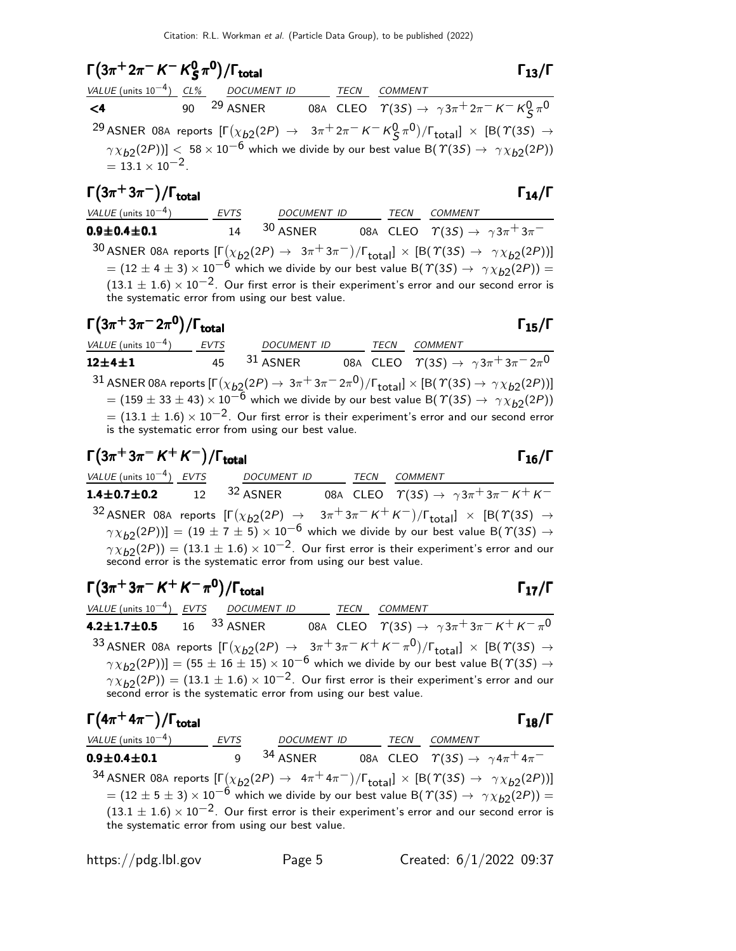#### $\Gamma(3\pi^+ 2\pi^- K^- K^0_S)$  $(3\pi^+ 2\pi^- K^- K^0_S \pi^0)/\Gamma_{\text{total}}$  Γ<sub>13</sub>/Γ S  $\Gamma(3\pi^+ 2\pi^- K^- K^0_S \pi^0)/\Gamma_{\text{total}}$  Γ<sub>13</sub>/Γ

|                           | VALUE (units $10^{-4}$ ) CL% DOCUMENT ID | <b>TECN</b> | <b>COMMENT</b>                                                                                                                                   |
|---------------------------|------------------------------------------|-------------|--------------------------------------------------------------------------------------------------------------------------------------------------|
| $\leq 4$                  | 90 <sup>29</sup> ASNER                   |             | 08A CLEO $\quad \  \  \Upsilon(3S) \rightarrow \ \ \gamma 3 \pi^+ 2 \pi^- \, K^- \, K^0 \, \pi^0$                                                |
|                           |                                          |             | <sup>29</sup> ASNER 08A reports $[\Gamma(\chi_{b2}(2P) \to 3\pi^+ 2\pi^- K^- K^0 \zeta \pi^0)/\Gamma_{\text{total}}] \times [B(\Upsilon(3S) \to$ |
|                           |                                          |             | $\gamma \chi_{b2}(2P))$ < 58 × 10 <sup>-6</sup> which we divide by our best value B( $\gamma$ (3S) $\rightarrow \gamma \chi_{b2}(2P)$ )          |
| $= 13.1 \times 10^{-2}$ . |                                          |             |                                                                                                                                                  |

### $\Gamma(3\pi^+3\pi^-)/\Gamma_{\rm total}$  Γ<sub>14</sub>/Γ /Γ $_{\rm total}$ Γ $_{14}/$ Γ

| VALUE (units $10^{-4}$ )  | <b>EVTS</b> | <i>DOCUMENT ID</i> | TFCN | COMMENT                                                  |
|---------------------------|-------------|--------------------|------|----------------------------------------------------------|
| $0.9\!\pm\!0.4\!\pm\!0.1$ |             | $30$ ASNER         |      | 08A CLEO $\Upsilon(35) \rightarrow \gamma 3\pi^+ 3\pi^-$ |

 $^{30}$  ASNER 08A reports  $[\Gamma(\chi_{b2}(2P) \to 3\pi^+3\pi^-)/\Gamma_{\rm total}]\times[{\cal B}(\Upsilon(3S) \to \ \gamma\chi_{b2}(2P))]$  $= (12 \pm 4 \pm 3) \times 10^{-6}$  which we divide by our best value B( $\Upsilon(35) \rightarrow \gamma \chi_{b2}(2P)$ ) =  $(13.1 \pm 1.6) \times 10^{-2}$ . Our first error is their experiment's error and our second error is the systematic error from using our best value.

| $\Gamma(3\pi^+3\pi^-2\pi^0)/\Gamma_{\rm total}$                                                                                                 |    |                                                                                                                                                                         |      |         | $\Gamma_{15}/\Gamma$                                                           |
|-------------------------------------------------------------------------------------------------------------------------------------------------|----|-------------------------------------------------------------------------------------------------------------------------------------------------------------------------|------|---------|--------------------------------------------------------------------------------|
| VALUE (units $10^{-4}$ ) EVTS                                                                                                                   |    | <b>DOCUMENT ID</b>                                                                                                                                                      | TECN | COMMENT |                                                                                |
| $12 + 4 + 1$                                                                                                                                    | 45 | $31$ ASNER                                                                                                                                                              |      |         | 08A CLEO $\quad \  \  \gamma(3S) \rightarrow \ \gamma 3 \pi^+ 3 \pi^- 2 \pi^0$ |
| 31 ASNER 08A reports $[\Gamma(\chi_{b2}(2P) \to 3\pi^+ 3\pi^- 2\pi^0)/\Gamma_{\text{total}}] \times [B(\Upsilon(3S) \to \gamma \chi_{b2}(2P))]$ |    |                                                                                                                                                                         |      |         |                                                                                |
|                                                                                                                                                 |    | $=$ (159 $\pm$ 33 $\pm$ 43) $\times$ 10 <sup>-6</sup> which we divide by our best value B( $\Upsilon(35) \rightarrow \gamma \chi_{b2}(2P)$ )                            |      |         |                                                                                |
|                                                                                                                                                 |    | $=$ (13.1 $\pm$ 1.6) $\times$ 10 <sup>-2</sup> . Our first error is their experiment's error and our second error<br>is the systematic error from using our best value. |      |         |                                                                                |

# $\Gamma(3\pi^+3\pi^- K^+ K^-)/\Gamma_{\text{total}}$  Γ<sub>16</sub>/Γ VALUE (units 10<sup>-4</sup>) EVTS DOCUMENT ID TECN COMMENT 1.4±0.7±0.2 12 <sup>32</sup> ASNER 08A CLEO  $\varUpsilon(3S) \to \gamma 3\pi^+ 3\pi^- K^+ K^-$ 32 ASNER 08A reports  $[\Gamma(\chi_{b2}(2P) \rightarrow 3\pi + 3\pi - K + K^-)/\Gamma_{\rm total}] \times [B(\Upsilon(3S) \rightarrow$

 $(\gamma \chi_{b2}(2P))] = (19 \pm 7 \pm 5) \times 10^{-6}$  which we divide by our best value B( $\gamma$ (3S)  $\rightarrow$  $\gamma \chi_{b2}(2P)) = (13.1 \pm 1.6) \times 10^{-2}$ . Our first error is their experiment's error and our second error is the systematic error from using our best value.

$$
\Gamma(3\pi^+3\pi^- K^+ K^- \pi^0)/\Gamma_{\text{total}}
$$

VALUE (units  $10^{-4}$ ) EVTS DOCUMENT ID TECN COMMENT **4.2±1.7±0.5** 16 <sup>33</sup> ASNER 08A CLEO  $\varUpsilon(3S) \to \gamma 3\pi^+ 3\pi^- K^+ K^- \pi^0$ 33 ASNER 08A reports  $[\Gamma(\chi_{b2}(2P) \rightarrow 3\pi + 3\pi - K + K - \pi^0)/\Gamma_{\rm total}]\times[{\cal B}(\Upsilon(3S) \rightarrow$  $(\gamma \chi_{b2}(2P))] = (55 \pm 16 \pm 15) \times 10^{-6}$  which we divide by our best value B( $\gamma$ (35)  $\rightarrow$  $\gamma \chi_{b2}(2P)$ ) = (13.1  $\pm$  1.6)  $\times$  10<sup>-2</sup>. Our first error is their experiment's error and our second error is the systematic error from using our best value.

| $\Gamma(4\pi^+ 4\pi^-)/\Gamma_{\rm total}$      |             |                     |      | $\Gamma_{18}/\Gamma$                                                                                                                                                                                                                                                                                                                                                              |
|-------------------------------------------------|-------------|---------------------|------|-----------------------------------------------------------------------------------------------------------------------------------------------------------------------------------------------------------------------------------------------------------------------------------------------------------------------------------------------------------------------------------|
| $VALUE$ (units $10^{-4}$ )                      | <b>EVTS</b> | <b>DOCUMENT ID</b>  | TECN | <b>COMMENT</b>                                                                                                                                                                                                                                                                                                                                                                    |
| $0.9 \pm 0.4 \pm 0.1$                           | Q           | <sup>34</sup> ASNER |      | 08A CLEO $\ \ \Upsilon(3S) \rightarrow \ \ \gamma 4 \pi^+ 4 \pi^-$                                                                                                                                                                                                                                                                                                                |
| the systematic error from using our best value. |             |                     |      | <sup>34</sup> ASNER 08A reports $[\Gamma(\chi_{b2}(2P) \to 4\pi^+ 4\pi^-)/\Gamma_{\text{total}}] \times [B(\Upsilon(3S) \to \gamma \chi_{b2}(2P))]$<br>= (12 ± 5 ± 3) × 10 <sup>-6</sup> which we divide by our best value B( $\Upsilon(3S) \to \gamma \chi_{b2}(2P))$ =<br>$(13.1 \pm 1.6) \times 10^{-2}$ . Our first error is their experiment's error and our second error is |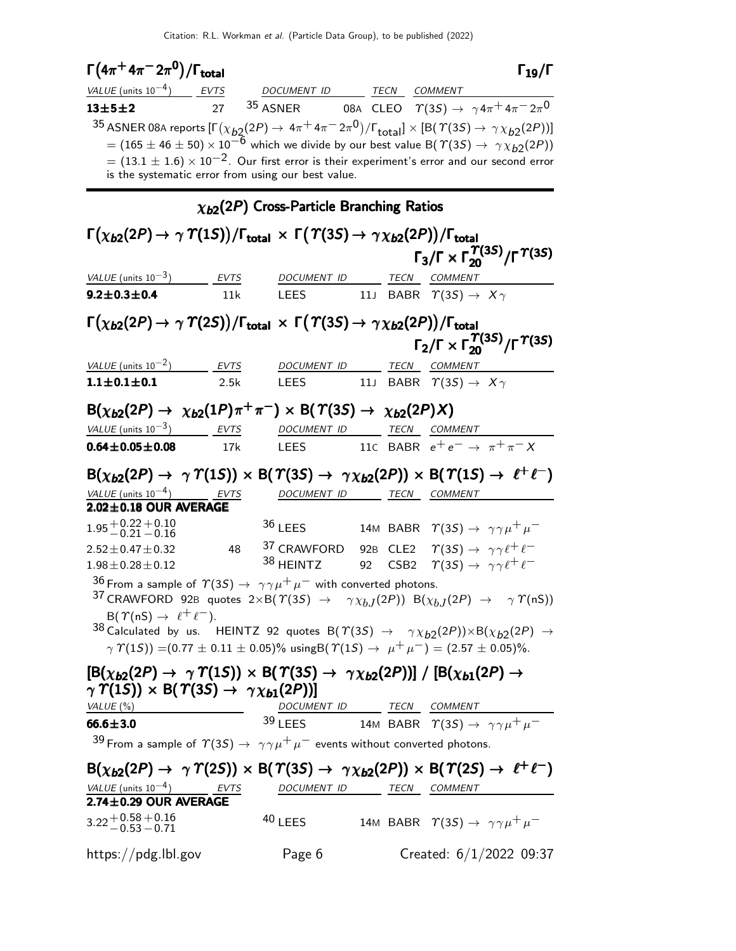|                                                                                                                                                                                  |      | Citation: R.L. Workman <i>et al.</i> (Particle Data Group), to be published (2022) |    |                  |                                                                                                                                                             |
|----------------------------------------------------------------------------------------------------------------------------------------------------------------------------------|------|------------------------------------------------------------------------------------|----|------------------|-------------------------------------------------------------------------------------------------------------------------------------------------------------|
| $\Gamma(4\pi^+4\pi^-2\pi^0)/\Gamma_{\rm total}$                                                                                                                                  |      |                                                                                    |    |                  | $\mathsf{\Gamma}_{19}/\mathsf{\Gamma}$                                                                                                                      |
| VALUE $(\text{units } 10^{-4})$ EVTS                                                                                                                                             |      | DOCUMENT ID TECN COMMENT                                                           |    |                  |                                                                                                                                                             |
| $13 + 5 + 2$                                                                                                                                                                     | 27   |                                                                                    |    |                  | <sup>35</sup> ASNER 08A CLEO $\Upsilon(3S) \rightarrow \gamma 4\pi^+ 4\pi^- 2\pi^0$                                                                         |
|                                                                                                                                                                                  |      |                                                                                    |    |                  | $^{35}$ ASNER 08A reports $[\Gamma(\chi_{b2}(2P) \to 4\pi^+ 4\pi^- 2\pi^0)/\Gamma_{\rm total}]\times [B(\Upsilon(3S) \to \gamma \chi_{b2}(2P))]$            |
|                                                                                                                                                                                  |      |                                                                                    |    |                  | $\tau = (165 \pm 46 \pm 50) \times 10^{-6}$ which we divide by our best value B( $\tau(3S) \rightarrow \gamma \chi_{b2}(2P)$ )                              |
|                                                                                                                                                                                  |      |                                                                                    |    |                  | $= (13.1 \pm 1.6) \times 10^{-2}$ . Our first error is their experiment's error and our second error                                                        |
|                                                                                                                                                                                  |      | is the systematic error from using our best value.                                 |    |                  |                                                                                                                                                             |
|                                                                                                                                                                                  |      | $\chi_{b2}(2P)$ Cross-Particle Branching Ratios                                    |    |                  |                                                                                                                                                             |
| $\Gamma(\chi_{\bm{b2}}(2P) \to \gamma \varUpsilon(1S))/\Gamma_{\bm{\text{total}}} \, \times \, \Gamma(\varUpsilon(3S) \to \gamma \chi_{\bm{b2}}(2P))/\Gamma_{\bm{\text{total}}}$ |      |                                                                                    |    |                  |                                                                                                                                                             |
|                                                                                                                                                                                  |      |                                                                                    |    |                  | $\Gamma_3/\Gamma \times \Gamma_{20}^{T(3S)}/\Gamma^{T(3S)}$                                                                                                 |
| $VALUE$ (units $10^{-3}$ ) EVTS                                                                                                                                                  |      | DOCUMENT ID TECN COMMENT                                                           |    |                  |                                                                                                                                                             |
| $9.2 \pm 0.3 \pm 0.4$                                                                                                                                                            | 11k  | <b>LEES</b>                                                                        |    |                  | 11J BABR $\Upsilon(35) \rightarrow X\gamma$                                                                                                                 |
| $\Gamma(\chi_{b2}(2P) \to \gamma \varUpsilon(2S))/\Gamma_{\rm total} \, \times \, \Gamma(\varUpsilon(3S) \to \gamma \chi_{b2}(2P))/\Gamma_{\rm total}$                           |      |                                                                                    |    |                  |                                                                                                                                                             |
|                                                                                                                                                                                  |      |                                                                                    |    |                  | $\Gamma_2/\Gamma \times \Gamma_{20}^{T(35)}/\Gamma^{T(35)}$                                                                                                 |
| VALUE (units $10^{-2}$ ) EVTS                                                                                                                                                    |      | DOCUMENT ID TECN COMMENT                                                           |    |                  |                                                                                                                                                             |
| $1.1 \pm 0.1 \pm 0.1$                                                                                                                                                            | 2.5k | <b>LEES</b>                                                                        |    |                  | 11J BABR $\Upsilon(35) \rightarrow X\gamma$                                                                                                                 |
| $B(\chi_{b2}(2P) \to \chi_{b2}(1P)\pi^+\pi^-) \times B(\Upsilon(3S) \to \chi_{b2}(2P)X)$                                                                                         |      |                                                                                    |    |                  |                                                                                                                                                             |
| VALUE (units $10^{-3}$ ) EVTS                                                                                                                                                    |      | DOCUMENT ID TECN COMMENT                                                           |    |                  |                                                                                                                                                             |
| $0.64 \pm 0.05 \pm 0.08$                                                                                                                                                         | 17k  |                                                                                    |    |                  | LEES 11C BABR $e^+e^- \rightarrow \pi^+\pi^- X$                                                                                                             |
|                                                                                                                                                                                  |      |                                                                                    |    |                  | $B(\chi_{b2}(2P) \rightarrow \gamma \Upsilon(1S)) \times B(\Upsilon(3S) \rightarrow \gamma \chi_{b2}(2P)) \times B(\Upsilon(1S) \rightarrow \ell^+ \ell^-)$ |
|                                                                                                                                                                                  |      | DOCUMENT ID TECN COMMENT                                                           |    |                  |                                                                                                                                                             |
| 2.02±0.18 OUR AVERAGE                                                                                                                                                            |      |                                                                                    |    |                  |                                                                                                                                                             |
| $1.95 + 0.22 + 0.10$<br>$-0.21 - 0.16$                                                                                                                                           |      | $36$ LEES                                                                          |    |                  | 14M BABR $\Upsilon(35) \rightarrow \gamma \gamma \mu^+ \mu^-$                                                                                               |
| $2.52 \pm 0.47 \pm 0.32$                                                                                                                                                         | 48   | 37 CRAWFORD                                                                        |    |                  | 92B CLE2 $\gamma$ (3S) $\rightarrow \gamma \gamma \ell^+ \ell^-$                                                                                            |
| $1.98 \pm 0.28 \pm 0.12$                                                                                                                                                         |      | 38 HEINTZ                                                                          | 92 | CSB <sub>2</sub> | $\Upsilon(35) \rightarrow \gamma \gamma \ell^+ \ell^-$                                                                                                      |
| 36 From a sample of $\Upsilon(3S) \rightarrow \gamma \gamma \mu^+ \mu^-$ with converted photons.                                                                                 |      |                                                                                    |    |                  |                                                                                                                                                             |
| $B(\Upsilon(nS) \rightarrow \ell^+ \ell^-).$                                                                                                                                     |      |                                                                                    |    |                  | <sup>37</sup> CRAWFORD 92B quotes 2×B( $\Upsilon(3S) \rightarrow \gamma \chi_{b,I}(2P)$ ) B( $\chi_{b,I}(2P) \rightarrow \gamma \Upsilon(nS)$ )             |
|                                                                                                                                                                                  |      |                                                                                    |    |                  | $38$ Calculated by us. HEINTZ 92 quotes B( $\Upsilon(35) \rightarrow \gamma \chi_{b2}(2P) \times B(\chi_{b2}(2P) \rightarrow$                               |
|                                                                                                                                                                                  |      |                                                                                    |    |                  | $\gamma \Upsilon(15)$ = (0.77 $\pm$ 0.11 $\pm$ 0.05)% using B( $\Upsilon(15) \rightarrow \mu^+ \mu^-$ ) = (2.57 $\pm$ 0.05)%.                               |
| $[B(\chi_{b2}(2P) \rightarrow \gamma \Upsilon(1S)) \times B(\Upsilon(3S) \rightarrow \gamma \chi_{b2}(2P))] / [B(\chi_{b1}(2P) \rightarrow$                                      |      |                                                                                    |    |                  |                                                                                                                                                             |
| $\gamma \Upsilon(15)$ $\times$ B( $\Upsilon(35)$ $\rightarrow$ $\gamma \chi_{b1}(2P)$ )]<br>VALUE (%)                                                                            |      | DOCUMENT ID TECN COMMENT                                                           |    |                  |                                                                                                                                                             |
| $66.6 \pm 3.0$                                                                                                                                                                   |      |                                                                                    |    |                  | 39 LEES 14M BABR $\gamma$ (3S) $\rightarrow \gamma \gamma \mu^+ \mu^-$                                                                                      |
| 39 From a sample of $\Upsilon(3S) \rightarrow \gamma \gamma \mu^+ \mu^-$ events without converted photons.                                                                       |      |                                                                                    |    |                  |                                                                                                                                                             |
|                                                                                                                                                                                  |      |                                                                                    |    |                  | $B(\chi_{b2}(2P) \rightarrow \gamma \Upsilon(2S)) \times B(\Upsilon(3S) \rightarrow \gamma \chi_{b2}(2P)) \times B(\Upsilon(2S) \rightarrow \ell^+ \ell^-)$ |
| VALUE (units $10^{-4}$ ) EVTS                                                                                                                                                    |      | DOCUMENT ID TECN COMMENT                                                           |    |                  |                                                                                                                                                             |
| $2.74\pm0.29$ OUR AVERAGE                                                                                                                                                        |      |                                                                                    |    |                  |                                                                                                                                                             |
| $3.22 + 0.58 + 0.16$<br>-0.53 $-0.71$                                                                                                                                            |      | $40$ LEES                                                                          |    |                  | 14M BABR $\Upsilon(35) \rightarrow \gamma \gamma \mu^+ \mu^-$                                                                                               |
| https://pdg.lbl.gov                                                                                                                                                              |      | Page 6                                                                             |    |                  | Created: $6/1/2022$ 09:37                                                                                                                                   |